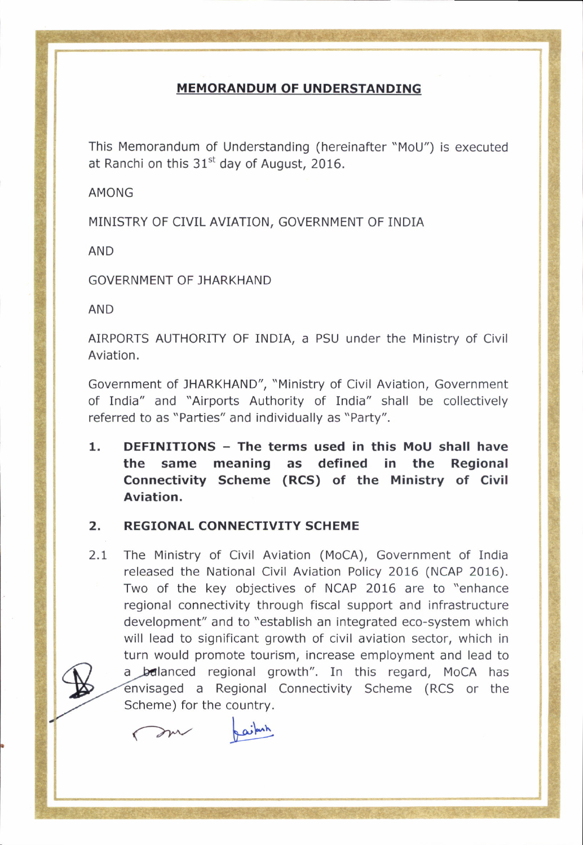## MEMORANDUM OF UNDERSTANDING

This Memorandum of Understanding (hereinafter "MoU") is executed at Ranchi on this 31<sup>st</sup> day of August, 2016.

AMONG

MINISTRY OF CIVIL AVIATION, GOVERNMENT OF INDIA

AND

GOVERNMENT OF JHARKHAND

AND

AIRPORTS AUTHORITY OF INDIA, a PSU under the Ministry of Civil Aviation.

Government of JHARKHAND", "Ministry of Civil Aviation, Government of India" and "Airports Authority of India" shall be collectively referred to as "Parties" and individually as "Party".

1. DEFINITIONS - The terms used in this MoU shall have the same meaning as defined in the Regional Connectivity Scheme (RCS) of the Ministry of Civil Aviation.

## 2. REGIONAL CONNECTIVITY SCHEME

2.1 The Ministry of Civil Aviation (MoCA), Government of India released the National Civil Aviation Policy 2016 (NCAP 2016). Two of the key objectives of NCAP 2016 are to "enhance regional connectivity through fiscal support and infrastructure development" and to "establish an integrated eco-system which will lead to significant growth of civil aviation sector, which in turn would promote tourism, increase employment and lead to a balanced regional growth". In this regard, MoCA has envisaged a Regional Connectivity Scheme (RCS or the Scheme) for the country.